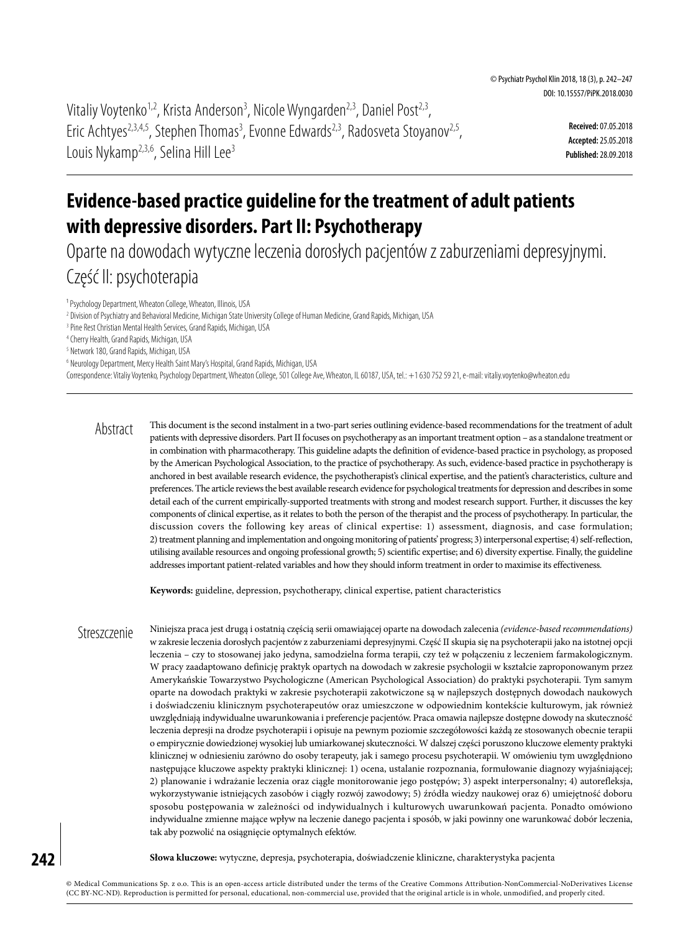Vitaliy Voytenko<sup>1,2</sup>, Krista Anderson<sup>3</sup>, Nicole Wyngarden<sup>2,3</sup>, Daniel Post<sup>2,3</sup>, Eric Achtyes<sup>2,3,4,5</sup>, Stephen Thomas<sup>3</sup>, Evonne Edwards<sup>2,3</sup>, Radosveta Stoyanov<sup>2,5</sup>, Louis Nykamp<sup>2,3,6</sup>, Selina Hill Lee<sup>3</sup>

**Received:** 07.05.2018 **Accepted:** 25.05.2018 **Published:** 28.09.2018

# **Evidence-based practice guideline for the treatment of adult patients with depressive disorders. Part II: Psychotherapy**

Oparte na dowodach wytyczne leczenia dorosłych pacjentów z zaburzeniami depresyjnymi. Część II: psychoterapia

1 Psychology Department, Wheaton College, Wheaton, Illinois, USA

2 Division of Psychiatry and Behavioral Medicine, Michigan State University College of Human Medicine, Grand Rapids, Michigan, USA

<sup>3</sup> Pine Rest Christian Mental Health Services, Grand Rapids, Michigan, USA

4 Cherry Health, Grand Rapids, Michigan, USA

5 Network 180, Grand Rapids, Michigan, USA

6 Neurology Department, Mercy Health Saint Mary's Hospital, Grand Rapids, Michigan, USA

Correspondence: Vitaliy Voytenko, Psychology Department, Wheaton College, 501 College Ave, Wheaton, IL 60187, USA, tel.: +1 630 752 59 21, e-mail: vitaliy.voytenko@wheaton.edu

This document is the second instalment in a two-part series outlining evidence-based recommendations for the treatment of adult patients with depressive disorders. Part II focuses on psychotherapy as an important treatment option – as a standalone treatment or in combination with pharmacotherapy. This guideline adapts the definition of evidence-based practice in psychology, as proposed by the American Psychological Association, to the practice of psychotherapy. As such, evidence-based practice in psychotherapy is anchored in best available research evidence, the psychotherapist's clinical expertise, and the patient's characteristics, culture and preferences. The article reviews the best available research evidence for psychological treatments for depression and describes in some detail each of the current empirically-supported treatments with strong and modest research support. Further, it discusses the key components of clinical expertise, as it relates to both the person of the therapist and the process of psychotherapy. In particular, the discussion covers the following key areas of clinical expertise: 1) assessment, diagnosis, and case formulation; 2) treatment planning and implementation and ongoing monitoring of patients' progress; 3) interpersonal expertise; 4) self-reflection, utilising available resources and ongoing professional growth; 5) scientific expertise; and 6) diversity expertise. Finally, the guideline addresses important patient-related variables and how they should inform treatment in order to maximise its effectiveness. Abstract

**Keywords:** guideline, depression, psychotherapy, clinical expertise, patient characteristics

Niniejsza praca jest drugą i ostatnią częścią serii omawiającej oparte na dowodach zalecenia *(evidence-based recommendations)*  w zakresie leczenia dorosłych pacjentów z zaburzeniami depresyjnymi. Część II skupia się na psychoterapii jako na istotnej opcji leczenia – czy to stosowanej jako jedyna, samodzielna forma terapii, czy też w połączeniu z leczeniem farmakologicznym. W pracy zaadaptowano definicję praktyk opartych na dowodach w zakresie psychologii w kształcie zaproponowanym przez Amerykańskie Towarzystwo Psychologiczne (American Psychological Association) do praktyki psychoterapii. Tym samym oparte na dowodach praktyki w zakresie psychoterapii zakotwiczone są w najlepszych dostępnych dowodach naukowych i doświadczeniu klinicznym psychoterapeutów oraz umieszczone w odpowiednim kontekście kulturowym, jak również uwzględniają indywidualne uwarunkowania i preferencje pacjentów. Praca omawia najlepsze dostępne dowody na skuteczność leczenia depresji na drodze psychoterapii i opisuje na pewnym poziomie szczegółowości każdą ze stosowanych obecnie terapii o empirycznie dowiedzionej wysokiej lub umiarkowanej skuteczności. W dalszej części poruszono kluczowe elementy praktyki klinicznej w odniesieniu zarówno do osoby terapeuty, jak i samego procesu psychoterapii. W omówieniu tym uwzględniono następujące kluczowe aspekty praktyki klinicznej: 1) ocena, ustalanie rozpoznania, formułowanie diagnozy wyjaśniającej; 2) planowanie i wdrażanie leczenia oraz ciągłe monitorowanie jego postępów; 3) aspekt interpersonalny; 4) autorefleksja, wykorzystywanie istniejących zasobów i ciągły rozwój zawodowy; 5) źródła wiedzy naukowej oraz 6) umiejętność doboru sposobu postępowania w zależności od indywidualnych i kulturowych uwarunkowań pacjenta. Ponadto omówiono indywidualne zmienne mające wpływ na leczenie danego pacjenta i sposób, w jaki powinny one warunkować dobór leczenia, tak aby pozwolić na osiągnięcie optymalnych efektów. Streszczenie

**Słowa kluczowe:** wytyczne, depresja, psychoterapia, doświadczenie kliniczne, charakterystyka pacjenta

© Medical Communications Sp. z o.o. This is an open-access article distributed under the terms of the Creative Commons Attribution-NonCommercial-NoDerivatives License (CC BY-NC-ND). Reproduction is permitted for personal, educational, non-commercial use, provided that the original article is in whole, unmodified, and properly cited.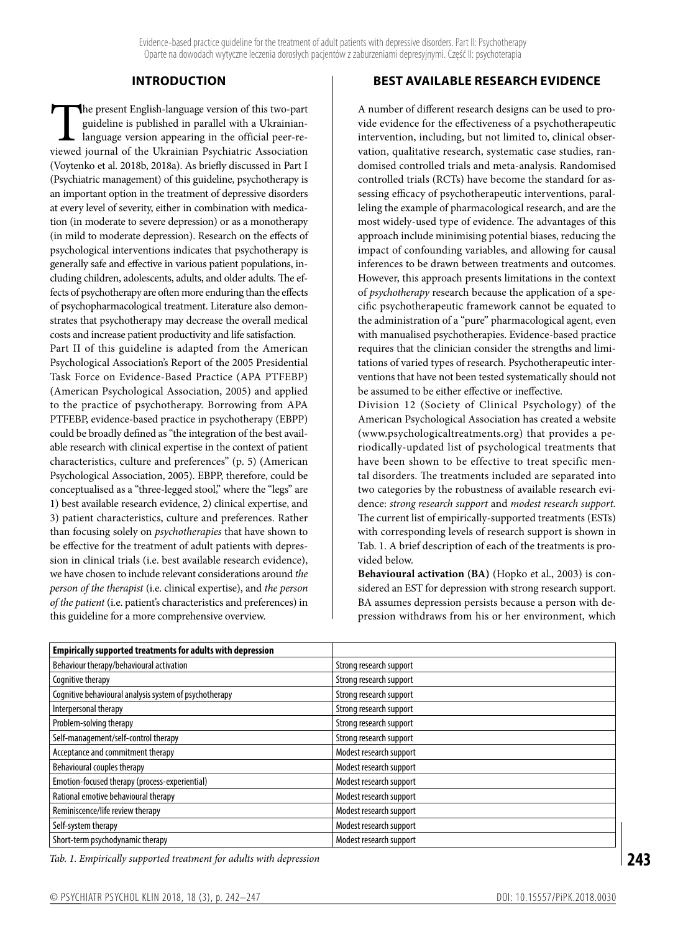#### **INTRODUCTION**

The present English-language version of this two-part guideline is published in parallel with a Ukrainianlanguage version appearing in the official peer-reviewed journal of the Ukrainian Psychiatric Association (Voytenko et al. 2018b, 2018a). As briefly discussed in Part I (Psychiatric management) of this guideline, psychotherapy is an important option in the treatment of depressive disorders at every level of severity, either in combination with medication (in moderate to severe depression) or as a monotherapy (in mild to moderate depression). Research on the effects of psychological interventions indicates that psychotherapy is generally safe and effective in various patient populations, including children, adolescents, adults, and older adults. The effects of psychotherapy are often more enduring than the effects of psychopharmacological treatment. Literature also demonstrates that psychotherapy may decrease the overall medical costs and increase patient productivity and life satisfaction.

Part II of this guideline is adapted from the American Psychological Association's Report of the 2005 Presidential Task Force on Evidence-Based Practice (APA PTFEBP) (American Psychological Association, 2005) and applied to the practice of psychotherapy. Borrowing from APA PTFEBP, evidence-based practice in psychotherapy (EBPP) could be broadly defined as "the integration of the best available research with clinical expertise in the context of patient characteristics, culture and preferences" (p. 5) (American Psychological Association, 2005). EBPP, therefore, could be conceptualised as a "three-legged stool," where the "legs" are 1) best available research evidence, 2) clinical expertise, and 3) patient characteristics, culture and preferences. Rather than focusing solely on *psychotherapies* that have shown to be effective for the treatment of adult patients with depression in clinical trials (i.e. best available research evidence), we have chosen to include relevant considerations around *the person of the therapist* (i.e. clinical expertise), and *the person of the patient* (i.e. patient's characteristics and preferences) in this guideline for a more comprehensive overview.

#### **BEST AVAILABLE RESEARCH EVIDENCE**

A number of different research designs can be used to provide evidence for the effectiveness of a psychotherapeutic intervention, including, but not limited to, clinical observation, qualitative research, systematic case studies, randomised controlled trials and meta-analysis. Randomised controlled trials (RCTs) have become the standard for assessing efficacy of psychotherapeutic interventions, paralleling the example of pharmacological research, and are the most widely-used type of evidence. The advantages of this approach include minimising potential biases, reducing the impact of confounding variables, and allowing for causal inferences to be drawn between treatments and outcomes. However, this approach presents limitations in the context of *psychotherapy* research because the application of a specific psychotherapeutic framework cannot be equated to the administration of a "pure" pharmacological agent, even with manualised psychotherapies. Evidence-based practice requires that the clinician consider the strengths and limitations of varied types of research. Psychotherapeutic interventions that have not been tested systematically should not be assumed to be either effective or ineffective.

Division 12 (Society of Clinical Psychology) of the American Psychological Association has created a website (www.psychologicaltreatments.org) that provides a periodically-updated list of psychological treatments that have been shown to be effective to treat specific mental disorders. The treatments included are separated into two categories by the robustness of available research evidence: *strong research support* and *modest research support.* The current list of empirically-supported treatments (ESTs) with corresponding levels of research support is shown in Tab. 1. A brief description of each of the treatments is provided below.

**Behavioural activation (BA)** (Hopko et al., 2003) is considered an EST for depression with strong research support. BA assumes depression persists because a person with depression withdraws from his or her environment, which

| <b>Empirically supported treatments for adults with depression</b> |                         |
|--------------------------------------------------------------------|-------------------------|
| Behaviour therapy/behavioural activation                           | Strong research support |
| Cognitive therapy                                                  | Strong research support |
| Cognitive behavioural analysis system of psychotherapy             | Strong research support |
| Interpersonal therapy                                              | Strong research support |
| Problem-solving therapy                                            | Strong research support |
| Self-management/self-control therapy                               | Strong research support |
| Acceptance and commitment therapy                                  | Modest research support |
| Behavioural couples therapy                                        | Modest research support |
| Emotion-focused therapy (process-experiential)                     | Modest research support |
| Rational emotive behavioural therapy                               | Modest research support |
| Reminiscence/life review therapy                                   | Modest research support |
| Self-system therapy                                                | Modest research support |
| Short-term psychodynamic therapy                                   | Modest research support |

*Tab. 1. Empirically supported treatment for adults with depression*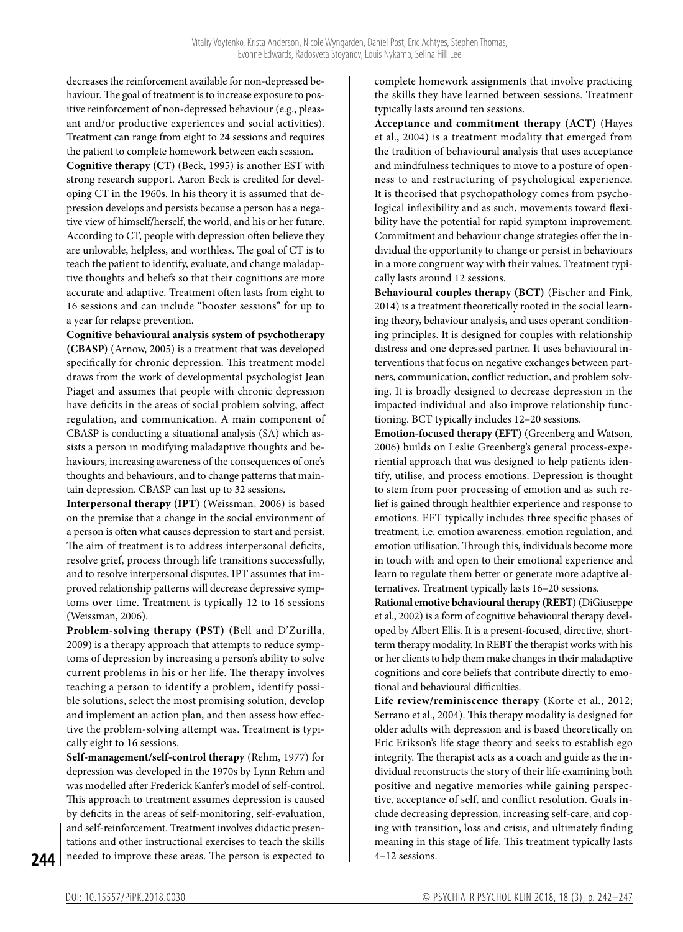decreases the reinforcement available for non-depressed behaviour. The goal of treatment is to increase exposure to positive reinforcement of non-depressed behaviour (e.g., pleasant and/or productive experiences and social activities). Treatment can range from eight to 24 sessions and requires the patient to complete homework between each session.

**Cognitive therapy (CT)** (Beck, 1995) is another EST with strong research support. Aaron Beck is credited for developing CT in the 1960s. In his theory it is assumed that depression develops and persists because a person has a negative view of himself/herself, the world, and his or her future. According to CT, people with depression often believe they are unlovable, helpless, and worthless. The goal of CT is to teach the patient to identify, evaluate, and change maladaptive thoughts and beliefs so that their cognitions are more accurate and adaptive. Treatment often lasts from eight to 16 sessions and can include "booster sessions" for up to a year for relapse prevention.

**Cognitive behavioural analysis system of psychotherapy (CBASP)** (Arnow, 2005) is a treatment that was developed specifically for chronic depression. This treatment model draws from the work of developmental psychologist Jean Piaget and assumes that people with chronic depression have deficits in the areas of social problem solving, affect regulation, and communication. A main component of CBASP is conducting a situational analysis (SA) which assists a person in modifying maladaptive thoughts and behaviours, increasing awareness of the consequences of one's thoughts and behaviours, and to change patterns that maintain depression. CBASP can last up to 32 sessions.

**Interpersonal therapy (IPT)** (Weissman, 2006) is based on the premise that a change in the social environment of a person is often what causes depression to start and persist. The aim of treatment is to address interpersonal deficits, resolve grief, process through life transitions successfully, and to resolve interpersonal disputes. IPT assumes that improved relationship patterns will decrease depressive symptoms over time. Treatment is typically 12 to 16 sessions (Weissman, 2006).

**Problem-solving therapy (PST)** (Bell and D'Zurilla, 2009) is a therapy approach that attempts to reduce symptoms of depression by increasing a person's ability to solve current problems in his or her life. The therapy involves teaching a person to identify a problem, identify possible solutions, select the most promising solution, develop and implement an action plan, and then assess how effective the problem-solving attempt was. Treatment is typically eight to 16 sessions.

**Self-management/self-control therapy** (Rehm, 1977) for depression was developed in the 1970s by Lynn Rehm and was modelled after Frederick Kanfer's model of self-control. This approach to treatment assumes depression is caused by deficits in the areas of self-monitoring, self-evaluation, and self-reinforcement. Treatment involves didactic presentations and other instructional exercises to teach the skills needed to improve these areas. The person is expected to

complete homework assignments that involve practicing the skills they have learned between sessions. Treatment typically lasts around ten sessions.

**Acceptance and commitment therapy (ACT)** (Hayes et al., 2004) is a treatment modality that emerged from the tradition of behavioural analysis that uses acceptance and mindfulness techniques to move to a posture of openness to and restructuring of psychological experience. It is theorised that psychopathology comes from psychological inflexibility and as such, movements toward flexibility have the potential for rapid symptom improvement. Commitment and behaviour change strategies offer the individual the opportunity to change or persist in behaviours in a more congruent way with their values. Treatment typically lasts around 12 sessions.

**Behavioural couples therapy (BCT)** (Fischer and Fink, 2014) is a treatment theoretically rooted in the social learning theory, behaviour analysis, and uses operant conditioning principles. It is designed for couples with relationship distress and one depressed partner. It uses behavioural interventions that focus on negative exchanges between partners, communication, conflict reduction, and problem solving. It is broadly designed to decrease depression in the impacted individual and also improve relationship functioning. BCT typically includes 12–20 sessions.

**Emotion-focused therapy (EFT)** (Greenberg and Watson, 2006) builds on Leslie Greenberg's general process-experiential approach that was designed to help patients identify, utilise, and process emotions. Depression is thought to stem from poor processing of emotion and as such relief is gained through healthier experience and response to emotions. EFT typically includes three specific phases of treatment, i.e. emotion awareness, emotion regulation, and emotion utilisation. Through this, individuals become more in touch with and open to their emotional experience and learn to regulate them better or generate more adaptive alternatives. Treatment typically lasts 16–20 sessions.

**Rational emotive behavioural therapy (REBT)** (DiGiuseppe et al., 2002) is a form of cognitive behavioural therapy developed by Albert Ellis. It is a present-focused, directive, shortterm therapy modality. In REBT the therapist works with his or her clients to help them make changes in their maladaptive cognitions and core beliefs that contribute directly to emotional and behavioural difficulties.

**Life review/reminiscence therapy** (Korte et al., 2012; Serrano et al., 2004). This therapy modality is designed for older adults with depression and is based theoretically on Eric Erikson's life stage theory and seeks to establish ego integrity. The therapist acts as a coach and guide as the individual reconstructs the story of their life examining both positive and negative memories while gaining perspective, acceptance of self, and conflict resolution. Goals include decreasing depression, increasing self-care, and coping with transition, loss and crisis, and ultimately finding meaning in this stage of life. This treatment typically lasts 4–12 sessions.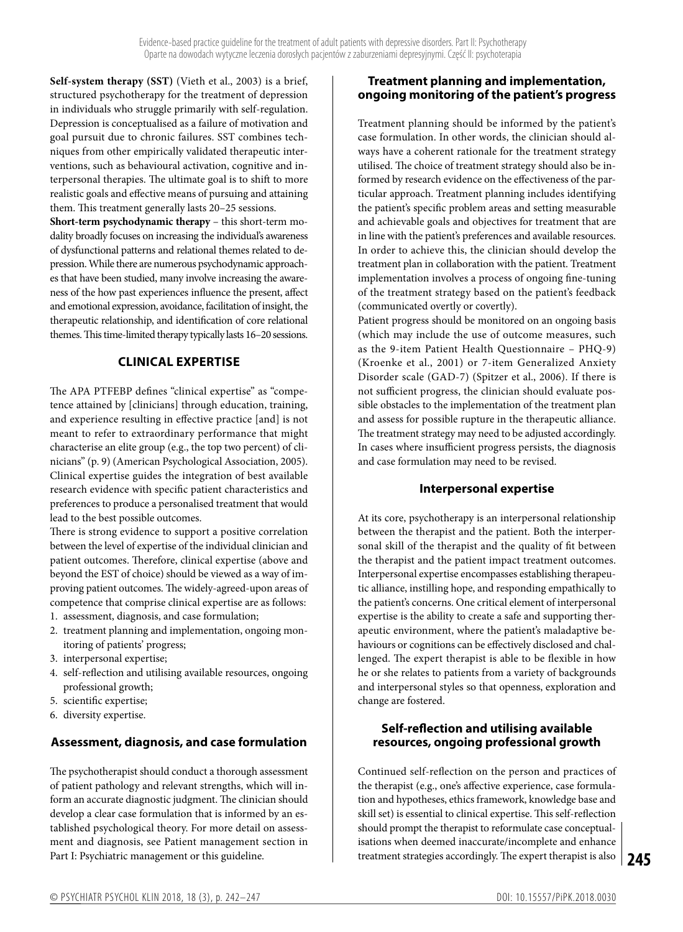**Self-system therapy (SST)** (Vieth et al., 2003) is a brief, structured psychotherapy for the treatment of depression in individuals who struggle primarily with self-regulation. Depression is conceptualised as a failure of motivation and goal pursuit due to chronic failures. SST combines techniques from other empirically validated therapeutic interventions, such as behavioural activation, cognitive and interpersonal therapies. The ultimate goal is to shift to more realistic goals and effective means of pursuing and attaining them. This treatment generally lasts 20–25 sessions.

**Short-term psychodynamic therapy** – this short-term modality broadly focuses on increasing the individual's awareness of dysfunctional patterns and relational themes related to depression. While there are numerous psychodynamic approaches that have been studied, many involve increasing the awareness of the how past experiences influence the present, affect and emotional expression, avoidance, facilitation of insight, the therapeutic relationship, and identification of core relational themes. This time-limited therapy typically lasts 16–20 sessions.

# **CLINICAL EXPERTISE**

The APA PTFEBP defines "clinical expertise" as "competence attained by [clinicians] through education, training, and experience resulting in effective practice [and] is not meant to refer to extraordinary performance that might characterise an elite group (e.g., the top two percent) of clinicians" (p. 9) (American Psychological Association, 2005). Clinical expertise guides the integration of best available research evidence with specific patient characteristics and preferences to produce a personalised treatment that would lead to the best possible outcomes.

There is strong evidence to support a positive correlation between the level of expertise of the individual clinician and patient outcomes. Therefore, clinical expertise (above and beyond the EST of choice) should be viewed as a way of improving patient outcomes. The widely-agreed-upon areas of competence that comprise clinical expertise are as follows:

- 1. assessment, diagnosis, and case formulation;
- 2. treatment planning and implementation, ongoing monitoring of patients' progress;
- 3. interpersonal expertise;
- 4. self-reflection and utilising available resources, ongoing professional growth;
- 5. scientific expertise;
- 6. diversity expertise.

# **Assessment, diagnosis, and case formulation**

The psychotherapist should conduct a thorough assessment of patient pathology and relevant strengths, which will inform an accurate diagnostic judgment. The clinician should develop a clear case formulation that is informed by an established psychological theory. For more detail on assessment and diagnosis, see Patient management section in Part I: Psychiatric management or this guideline.

# **Treatment planning and implementation, ongoing monitoring of the patient's progress**

Treatment planning should be informed by the patient's case formulation. In other words, the clinician should always have a coherent rationale for the treatment strategy utilised. The choice of treatment strategy should also be informed by research evidence on the effectiveness of the particular approach. Treatment planning includes identifying the patient's specific problem areas and setting measurable and achievable goals and objectives for treatment that are in line with the patient's preferences and available resources. In order to achieve this, the clinician should develop the treatment plan in collaboration with the patient. Treatment implementation involves a process of ongoing fine-tuning of the treatment strategy based on the patient's feedback (communicated overtly or covertly).

Patient progress should be monitored on an ongoing basis (which may include the use of outcome measures, such as the 9-item Patient Health Questionnaire – PHQ-9) (Kroenke et al., 2001) or 7-item Generalized Anxiety Disorder scale (GAD-7) (Spitzer et al., 2006). If there is not sufficient progress, the clinician should evaluate possible obstacles to the implementation of the treatment plan and assess for possible rupture in the therapeutic alliance. The treatment strategy may need to be adjusted accordingly. In cases where insufficient progress persists, the diagnosis and case formulation may need to be revised.

#### **Interpersonal expertise**

At its core, psychotherapy is an interpersonal relationship between the therapist and the patient. Both the interpersonal skill of the therapist and the quality of fit between the therapist and the patient impact treatment outcomes. Interpersonal expertise encompasses establishing therapeutic alliance, instilling hope, and responding empathically to the patient's concerns. One critical element of interpersonal expertise is the ability to create a safe and supporting therapeutic environment, where the patient's maladaptive behaviours or cognitions can be effectively disclosed and challenged. The expert therapist is able to be flexible in how he or she relates to patients from a variety of backgrounds and interpersonal styles so that openness, exploration and change are fostered.

# **Self-reflection and utilising available resources, ongoing professional growth**

**245** treatment strategies accordingly. The expert therapist is also Continued self-reflection on the person and practices of the therapist (e.g., one's affective experience, case formulation and hypotheses, ethics framework, knowledge base and skill set) is essential to clinical expertise. This self-reflection should prompt the therapist to reformulate case conceptualisations when deemed inaccurate/incomplete and enhance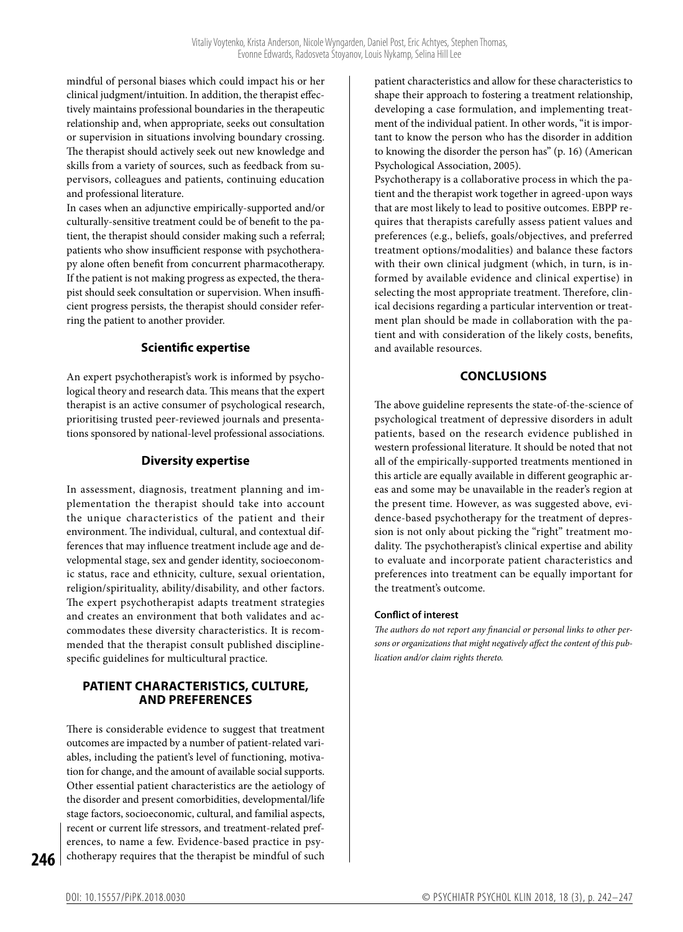mindful of personal biases which could impact his or her clinical judgment/intuition. In addition, the therapist effectively maintains professional boundaries in the therapeutic relationship and, when appropriate, seeks out consultation or supervision in situations involving boundary crossing. The therapist should actively seek out new knowledge and skills from a variety of sources, such as feedback from supervisors, colleagues and patients, continuing education and professional literature.

In cases when an adjunctive empirically-supported and/or culturally-sensitive treatment could be of benefit to the patient, the therapist should consider making such a referral; patients who show insufficient response with psychotherapy alone often benefit from concurrent pharmacotherapy. If the patient is not making progress as expected, the therapist should seek consultation or supervision. When insufficient progress persists, the therapist should consider referring the patient to another provider.

#### **Scientific expertise**

An expert psychotherapist's work is informed by psychological theory and research data. This means that the expert therapist is an active consumer of psychological research, prioritising trusted peer-reviewed journals and presentations sponsored by national-level professional associations.

#### **Diversity expertise**

In assessment, diagnosis, treatment planning and implementation the therapist should take into account the unique characteristics of the patient and their environment. The individual, cultural, and contextual differences that may influence treatment include age and developmental stage, sex and gender identity, socioeconomic status, race and ethnicity, culture, sexual orientation, religion/spirituality, ability/disability, and other factors. The expert psychotherapist adapts treatment strategies and creates an environment that both validates and accommodates these diversity characteristics. It is recommended that the therapist consult published disciplinespecific guidelines for multicultural practice.

#### **PATIENT CHARACTERISTICS, CULTURE, AND PREFERENCES**

There is considerable evidence to suggest that treatment outcomes are impacted by a number of patient-related variables, including the patient's level of functioning, motivation for change, and the amount of available social supports. Other essential patient characteristics are the aetiology of the disorder and present comorbidities, developmental/life stage factors, socioeconomic, cultural, and familial aspects, recent or current life stressors, and treatment-related preferences, to name a few. Evidence-based practice in psychotherapy requires that the therapist be mindful of such

patient characteristics and allow for these characteristics to shape their approach to fostering a treatment relationship, developing a case formulation, and implementing treatment of the individual patient. In other words, "it is important to know the person who has the disorder in addition to knowing the disorder the person has" (p. 16) (American Psychological Association, 2005).

Psychotherapy is a collaborative process in which the patient and the therapist work together in agreed-upon ways that are most likely to lead to positive outcomes. EBPP requires that therapists carefully assess patient values and preferences (e.g., beliefs, goals/objectives, and preferred treatment options/modalities) and balance these factors with their own clinical judgment (which, in turn, is informed by available evidence and clinical expertise) in selecting the most appropriate treatment. Therefore, clinical decisions regarding a particular intervention or treatment plan should be made in collaboration with the patient and with consideration of the likely costs, benefits, and available resources.

# **CONCLUSIONS**

The above guideline represents the state-of-the-science of psychological treatment of depressive disorders in adult patients, based on the research evidence published in western professional literature. It should be noted that not all of the empirically-supported treatments mentioned in this article are equally available in different geographic areas and some may be unavailable in the reader's region at the present time. However, as was suggested above, evidence-based psychotherapy for the treatment of depression is not only about picking the "right" treatment modality. The psychotherapist's clinical expertise and ability to evaluate and incorporate patient characteristics and preferences into treatment can be equally important for the treatment's outcome.

#### **Conflict of interest**

*The authors do not report any financial or personal links to other persons or organizations that might negatively affect the content of this publication and/or claim rights thereto.*